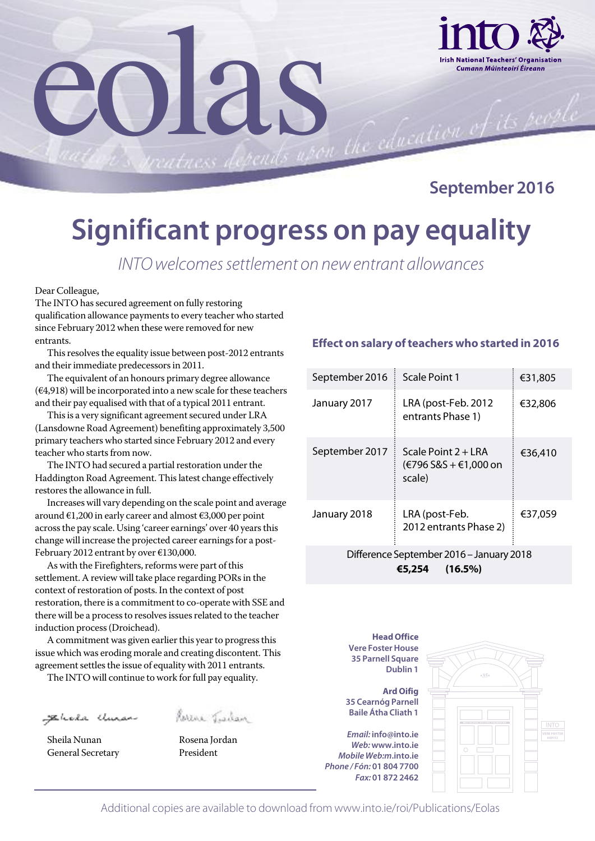

**September 2016**

### **Significant progress on pay equality**

*INTOwelcomessettlement on newentrant allowances*

Dear Colleague,

The INTO has secured agreement on fully restoring qualification allowance payments to every teacher who started since February 2012 when these were removed for new entrants.

eolas

This resolves the equality issue between post-2012 entrants and their immediate predecessors in 2011.

The equivalent of an honours primary degree allowance  $(€4,918)$  will be incorporated into a new scale for these teachers and their pay equalised with that of a typical 2011 entrant.

This is a very significant agreement secured under LRA (Lansdowne Road Agreement) benefiting approximately 3,500 primary teachers who started since February 2012 and every teacher who starts from now.

The INTO had secured a partial restoration under the Haddington Road Agreement. Thislatest change effectively restores the allowance in full.

Increases will vary depending on the scale point and average around €1,200 in early career and almost €3,000 per point across the pay scale. Using 'career earnings' over 40 years this change will increase the projected career earnings for a post-February 2012 entrant by over €130,000.

As with the Firefighters, reforms were part of this settlement. A review will take place regarding PORs in the context of restoration of posts. In the context of post restoration, there is a commitment to co-operate with SSE and there will be a process to resolves issues related to the teacher induction process(Droichead).

A commitment was given earlier this year to progress this issue which was eroding morale and creating discontent. This agreement settles the issue of equality with 2011 entrants.

The INTO will continue to work for full pay equality.

Sehala Uman

Sheila Nunan **Rosena Jordan** General Secretary **President** 



#### **Effect on salary of teachers who started in 2016**

| September 2016                           | Scale Point 1                                          | €31,805 |  |  |
|------------------------------------------|--------------------------------------------------------|---------|--|--|
| January 2017                             | LRA (post-Feb. 2012<br>entrants Phase 1)               | €32,806 |  |  |
| September 2017                           | Scale Point 2 + LRA<br>(€796 S&S + €1,000 on<br>scale) | €36,410 |  |  |
| January 2018                             | LRA (post-Feb.<br>2012 entrants Phase 2)               | €37,059 |  |  |
| Difference September 2016 - January 2018 |                                                        |         |  |  |

**€5,254 (16.5%)**

**Head Office Vere FosterHouse 35 Parnell Square Dublin 1**

**Ard Oifig 35 Cearnóg Parnell Baile Átha Cliath 1**

*Email:* **info@into.ie** *Web:***www.into.ie** *Mobile Web:m***.into.ie** *Phone / Fón:* **01 804 7700** *Fax:* **01 872 2462**



Additional copies are available to download from www.into.ie/roi/Publications/Eolas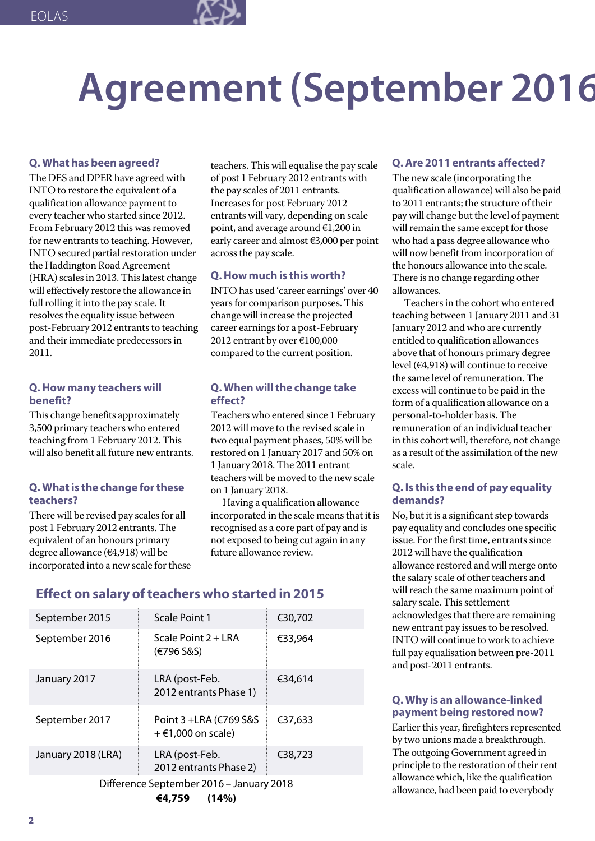

# **Agreement(September 2016**

#### **Q. What has been agreed?**

The DES and DPER have agreed with INTO to restore the equivalent of a qualification allowance payment to every teacher who started since 2012. From February 2012 this was removed for new entrants to teaching. However, INTO secured partial restoration under the Haddington Road Agreement (HRA) scales in 2013. This latest change will effectively restore the allowance in full rolling it into the pay scale. It resolves the equality issue between post-February 2012 entrants to teaching and their immediate predecessors in 2011.

#### **Q.How many teachers will benefit?**

This change benefits approximately 3,500 primary teachers who entered teaching from 1 February 2012. This will also benefit all future new entrants.

#### **Q. Whatis the change forthese teachers?**

There will be revised pay scales for all post 1 February 2012 entrants. The equivalent of an honours primary degree allowance (€4,918) will be incorporated into a new scale for these teachers. This will equalise the pay scale of post 1 February 2012 entrants with the pay scales of 2011 entrants. Increasesfor post February 2012 entrants will vary, depending on scale point, and average around €1,200 in early career and almost €3,000 per point across the pay scale.

#### **Q.How much is this worth?**

INTO has used 'career earnings' over 40 years for comparison purposes. This change will increase the projected career earnings for a post-February 2012 entrant by over €100,000 compared to the current position.

#### **Q. When willthe change take effect?**

Teachers who entered since 1 February 2012 will move to the revised scale in two equal payment phases, 50% will be restored on 1 January 2017 and 50%on 1 January 2018. The 2011 entrant teachers will be moved to the new scale on 1 January 2018.

Having a qualification allowance incorporated in the scale means that it is recognised as a core part of pay and is not exposed to being cut again in any future allowance review.

#### **Effect on salary of teachers who started in 2015**

| September 2015                                              | Scale Point 1                                   | €30,702 |  |  |
|-------------------------------------------------------------|-------------------------------------------------|---------|--|--|
| September 2016                                              | Scale Point $2 + LRA$<br>(€796 S&S)             | €33,964 |  |  |
| January 2017                                                | LRA (post-Feb.<br>2012 entrants Phase 1)        | €34,614 |  |  |
| September 2017                                              | Point 3 + LRA (€769 S&S<br>$+$ €1,000 on scale) | €37,633 |  |  |
| January 2018 (LRA)                                          | LRA (post-Feb.<br>2012 entrants Phase 2)        | €38,723 |  |  |
| Difference September 2016 - January 2018<br>(14%)<br>€4,759 |                                                 |         |  |  |

#### **Q.Are 2011 entrants affected?**

The new scale (incorporating the qualification allowance) will also be paid to 2011 entrants; the structure of their pay will change but the level of payment will remain the same except for those who had a pass degree allowance who will now benefit from incorporation of the honours allowance into the scale. There is no change regarding other allowances.

Teachersin the cohort who entered teaching between 1 January 2011 and 31 January 2012 and who are currently entitled to qualification allowances above that of honours primary degree level (€4,918) will continue to receive the same level of remuneration. The excess will continue to be paid in the form of a qualification allowance on a personal-to-holder basis. The remuneration of an individual teacher in this cohort will, therefore, not change as a result of the assimilation of the new scale.

#### **Q. Is this the end of pay equality demands?**

No, but it is a significant step towards pay equality and concludes one specific issue. For the first time, entrants since 2012 will have the qualification allowance restored and will merge onto the salary scale of other teachers and will reach the same maximum point of salary scale. This settlement acknowledges that there are remaining new entrant pay issues to be resolved. INTO will continue to work to achieve full pay equalisation between pre-2011 and post-2011 entrants.

#### **Q. Why is an allowance-linked payment being restored now?**

Earlier this year, firefighters represented by two unions made a breakthrough. The outgoing Government agreed in principle to the restoration of their rent allowance which, like the qualification allowance, had been paid to everybody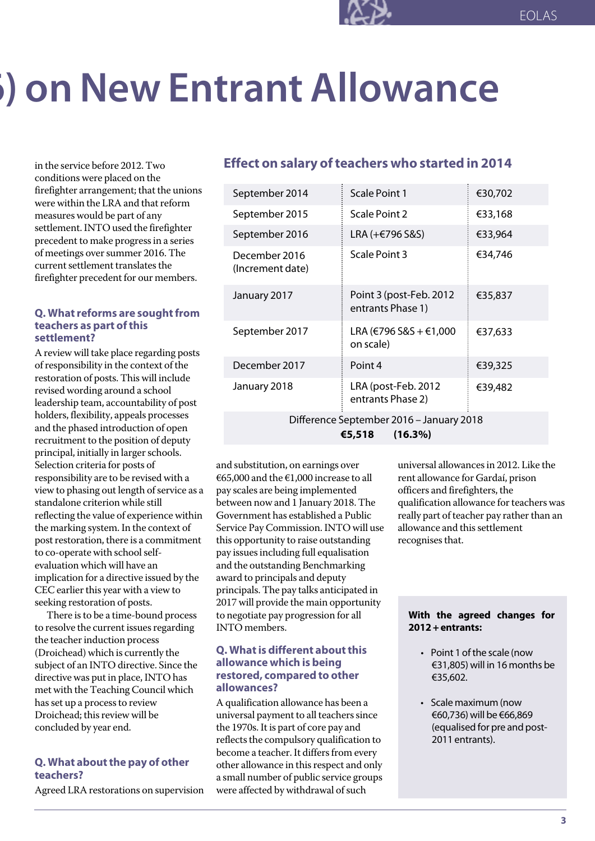## **6) on New Entrant Allowance**

in the service before 2012. Two conditions were placed on the firefighter arrangement; that the unions were within the LRA and that reform measures would be part of any settlement.INTO used the firefighter precedent to make progressin a series of meetings oversummer 2016. The current settlement translates the firefighter precedent for our members.

#### **Q.** What reforms are sought from **teachers as part ofthis settlement?**

A review will take place regarding posts of responsibility in the context of the restoration of posts. This will include revised wording around a school leadership team, accountability of post holders, flexibility, appeals processes and the phased introduction of open recruitment to the position of deputy principal, initially in larger schools. Selection criteria for posts of responsibility are to be revised with a view to phasing out length of service as a standalone criterion while still reflecting the value of experience within the marking system.In the context of post restoration, there is a commitment to co-operate with schoolselfevaluation which will have an implication for a directive issued by the CEC earlier this year with a view to seeking restoration of posts.

There isto be a time-bound process to resolve the current issues regarding the teacher induction process (Droichead) which is currently the subject of an INTO directive. Since the directive was put in place, INTO has met with the Teaching Council which has set up a process to review Droichead; this review will be concluded by year end.

#### **Q. What aboutthe pay of other teachers?**

Agreed LRA restorations on supervision

#### **Effect on salary of teachers who started in 2014**

| September 2014                           | Scale Point 1                                | €30,702 |  |  |
|------------------------------------------|----------------------------------------------|---------|--|--|
| September 2015                           | Scale Point 2                                | €33,168 |  |  |
| September 2016                           | LRA (+€796 S&S)                              | €33,964 |  |  |
| December 2016<br>(Increment date)        | Scale Point 3                                | €34,746 |  |  |
| January 2017                             | Point 3 (post-Feb. 2012<br>entrants Phase 1) | €35,837 |  |  |
| September 2017                           | LRA (€796 S&S + €1,000<br>on scale)          | €37,633 |  |  |
| December 2017                            | Point 4                                      | €39,325 |  |  |
| January 2018                             | LRA (post-Feb. 2012<br>entrants Phase 2)     | €39,482 |  |  |
| Difference September 2016 - January 2018 |                                              |         |  |  |

**€5,518 (16.3%)**

and substitution, on earnings over €65,000 and the €1,000 increase to all pay scales are being implemented between now and 1 January 2018. The Government has established a Public Service PayCommission.INTO will use this opportunity to raise outstanding pay issues including full equalisation and the outstanding Benchmarking award to principals and deputy principals. The pay talks anticipated in 2017 will provide the main opportunity to negotiate pay progression for all INTO members.

#### **Q. Whatis different aboutthis allowance which is being restored, compared to other allowances?**

A qualification allowance has been a universal payment to all teachers since the 1970s.It is part of core pay and reflects the compulsory qualification to become a teacher. It differs from every other allowance in this respect and only a small number of public service groups were affected by withdrawal of such

universal allowancesin 2012. Like the rent allowance for Gardaí, prison officers and firefighters, the qualification allowance for teachers was really part of teacher pay rather than an allowance and this settlement recognises that.

#### **With the agreed changes for 2012+entrants:**

- Point 1 of the scale (now €31,805) will in 16 months be €35,602.
- Scale maximum (now €60,736) will be €66,869 (equalised for pre and post- 2011 entrants).